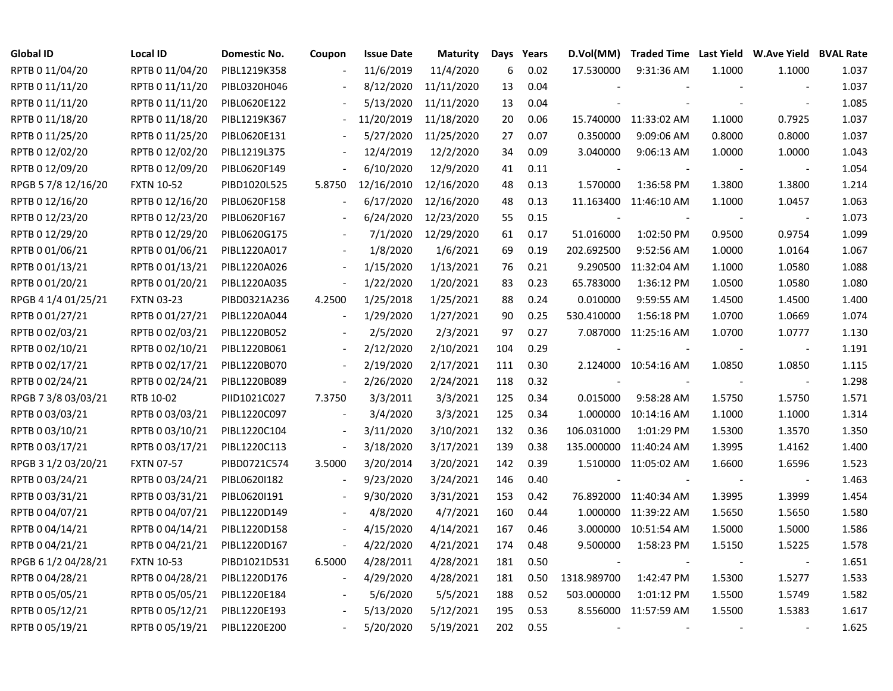| Global ID           | <b>Local ID</b>   | Domestic No. | Coupon                   | <b>Issue Date</b> | <b>Maturity</b> |     | Days Years | D.Vol(MM)      | Traded Time Last Yield W.Ave Yield BVAL Rate |            |                          |       |
|---------------------|-------------------|--------------|--------------------------|-------------------|-----------------|-----|------------|----------------|----------------------------------------------|------------|--------------------------|-------|
| RPTB 0 11/04/20     | RPTB 0 11/04/20   | PIBL1219K358 |                          | 11/6/2019         | 11/4/2020       | 6   | 0.02       | 17.530000      | 9:31:36 AM                                   | 1.1000     | 1.1000                   | 1.037 |
| RPTB 0 11/11/20     | RPTB 0 11/11/20   | PIBL0320H046 |                          | 8/12/2020         | 11/11/2020      | 13  | 0.04       |                |                                              |            |                          | 1.037 |
| RPTB 0 11/11/20     | RPTB 0 11/11/20   | PIBL0620E122 |                          | 5/13/2020         | 11/11/2020      | 13  | 0.04       |                |                                              |            |                          | 1.085 |
| RPTB 0 11/18/20     | RPTB 0 11/18/20   | PIBL1219K367 |                          | 11/20/2019        | 11/18/2020      | 20  | 0.06       |                | 15.740000 11:33:02 AM                        | 1.1000     | 0.7925                   | 1.037 |
| RPTB 0 11/25/20     | RPTB 0 11/25/20   | PIBL0620E131 |                          | 5/27/2020         | 11/25/2020      | 27  | 0.07       | 0.350000       | 9:09:06 AM                                   | 0.8000     | 0.8000                   | 1.037 |
| RPTB 0 12/02/20     | RPTB 0 12/02/20   | PIBL1219L375 | $\overline{\phantom{a}}$ | 12/4/2019         | 12/2/2020       | 34  | 0.09       | 3.040000       | 9:06:13 AM                                   | 1.0000     | 1.0000                   | 1.043 |
| RPTB 0 12/09/20     | RPTB 0 12/09/20   | PIBL0620F149 | $\blacksquare$           | 6/10/2020         | 12/9/2020       | 41  | 0.11       |                |                                              |            |                          | 1.054 |
| RPGB 5 7/8 12/16/20 | <b>FXTN 10-52</b> | PIBD1020L525 | 5.8750                   | 12/16/2010        | 12/16/2020      | 48  | 0.13       | 1.570000       | 1:36:58 PM                                   | 1.3800     | 1.3800                   | 1.214 |
| RPTB 0 12/16/20     | RPTB 0 12/16/20   | PIBL0620F158 | $\blacksquare$           | 6/17/2020         | 12/16/2020      | 48  | 0.13       |                | 11.163400 11:46:10 AM                        | 1.1000     | 1.0457                   | 1.063 |
| RPTB 0 12/23/20     | RPTB 0 12/23/20   | PIBL0620F167 |                          | 6/24/2020         | 12/23/2020      | 55  | 0.15       | $\overline{a}$ |                                              |            |                          | 1.073 |
| RPTB 0 12/29/20     | RPTB 0 12/29/20   | PIBL0620G175 |                          | 7/1/2020          | 12/29/2020      | 61  | 0.17       | 51.016000      | 1:02:50 PM                                   | 0.9500     | 0.9754                   | 1.099 |
| RPTB 0 01/06/21     | RPTB 0 01/06/21   | PIBL1220A017 |                          | 1/8/2020          | 1/6/2021        | 69  | 0.19       | 202.692500     | 9:52:56 AM                                   | 1.0000     | 1.0164                   | 1.067 |
| RPTB 0 01/13/21     | RPTB 0 01/13/21   | PIBL1220A026 | $\overline{\phantom{a}}$ | 1/15/2020         | 1/13/2021       | 76  | 0.21       | 9.290500       | 11:32:04 AM                                  | 1.1000     | 1.0580                   | 1.088 |
| RPTB 0 01/20/21     | RPTB 0 01/20/21   | PIBL1220A035 | $\overline{\phantom{a}}$ | 1/22/2020         | 1/20/2021       | 83  | 0.23       | 65.783000      | 1:36:12 PM                                   | 1.0500     | 1.0580                   | 1.080 |
| RPGB 4 1/4 01/25/21 | <b>FXTN 03-23</b> | PIBD0321A236 | 4.2500                   | 1/25/2018         | 1/25/2021       | 88  | 0.24       | 0.010000       | 9:59:55 AM                                   | 1.4500     | 1.4500                   | 1.400 |
| RPTB 0 01/27/21     | RPTB 0 01/27/21   | PIBL1220A044 |                          | 1/29/2020         | 1/27/2021       | 90  | 0.25       | 530.410000     | 1:56:18 PM                                   | 1.0700     | 1.0669                   | 1.074 |
| RPTB 0 02/03/21     | RPTB 0 02/03/21   | PIBL1220B052 |                          | 2/5/2020          | 2/3/2021        | 97  | 0.27       |                | 7.087000 11:25:16 AM                         | 1.0700     | 1.0777                   | 1.130 |
| RPTB 0 02/10/21     | RPTB 0 02/10/21   | PIBL1220B061 | $\overline{\phantom{a}}$ | 2/12/2020         | 2/10/2021       | 104 | 0.29       |                |                                              |            | $\overline{\phantom{a}}$ | 1.191 |
| RPTB 0 02/17/21     | RPTB 0 02/17/21   | PIBL1220B070 | $\overline{\phantom{a}}$ | 2/19/2020         | 2/17/2021       | 111 | 0.30       |                | 2.124000 10:54:16 AM                         | 1.0850     | 1.0850                   | 1.115 |
| RPTB 0 02/24/21     | RPTB 0 02/24/21   | PIBL1220B089 | $\blacksquare$           | 2/26/2020         | 2/24/2021       | 118 | 0.32       |                |                                              | $\sim$ $-$ | $\overline{\phantom{a}}$ | 1.298 |
| RPGB 7 3/8 03/03/21 | RTB 10-02         | PIID1021C027 | 7.3750                   | 3/3/2011          | 3/3/2021        | 125 | 0.34       | 0.015000       | 9:58:28 AM                                   | 1.5750     | 1.5750                   | 1.571 |
| RPTB 0 03/03/21     | RPTB 0 03/03/21   | PIBL1220C097 | $\frac{1}{2}$            | 3/4/2020          | 3/3/2021        | 125 | 0.34       | 1.000000       | 10:14:16 AM                                  | 1.1000     | 1.1000                   | 1.314 |
| RPTB 0 03/10/21     | RPTB 0 03/10/21   | PIBL1220C104 | $\overline{\phantom{a}}$ | 3/11/2020         | 3/10/2021       | 132 | 0.36       | 106.031000     | 1:01:29 PM                                   | 1.5300     | 1.3570                   | 1.350 |
| RPTB 0 03/17/21     | RPTB 0 03/17/21   | PIBL1220C113 | $\overline{\phantom{a}}$ | 3/18/2020         | 3/17/2021       | 139 | 0.38       |                | 135.000000 11:40:24 AM                       | 1.3995     | 1.4162                   | 1.400 |
| RPGB 3 1/2 03/20/21 | <b>FXTN 07-57</b> | PIBD0721C574 | 3.5000                   | 3/20/2014         | 3/20/2021       | 142 | 0.39       |                | 1.510000 11:05:02 AM                         | 1.6600     | 1.6596                   | 1.523 |
| RPTB 0 03/24/21     | RPTB 0 03/24/21   | PIBL06201182 | $\blacksquare$           | 9/23/2020         | 3/24/2021       | 146 | 0.40       | $\overline{a}$ |                                              |            | $\overline{\phantom{a}}$ | 1.463 |
| RPTB 0 03/31/21     | RPTB 0 03/31/21   | PIBL0620I191 |                          | 9/30/2020         | 3/31/2021       | 153 | 0.42       |                | 76.892000 11:40:34 AM                        | 1.3995     | 1.3999                   | 1.454 |
| RPTB 0 04/07/21     | RPTB 0 04/07/21   | PIBL1220D149 |                          | 4/8/2020          | 4/7/2021        | 160 | 0.44       |                | 1.000000 11:39:22 AM                         | 1.5650     | 1.5650                   | 1.580 |
| RPTB 0 04/14/21     | RPTB 0 04/14/21   | PIBL1220D158 |                          | 4/15/2020         | 4/14/2021       | 167 | 0.46       |                | 3.000000 10:51:54 AM                         | 1.5000     | 1.5000                   | 1.586 |
| RPTB 0 04/21/21     | RPTB 0 04/21/21   | PIBL1220D167 | $\overline{\phantom{a}}$ | 4/22/2020         | 4/21/2021       | 174 | 0.48       | 9.500000       | 1:58:23 PM                                   | 1.5150     | 1.5225                   | 1.578 |
| RPGB 6 1/2 04/28/21 | <b>FXTN 10-53</b> | PIBD1021D531 | 6.5000                   | 4/28/2011         | 4/28/2021       | 181 | 0.50       |                |                                              |            | $\overline{\phantom{a}}$ | 1.651 |
| RPTB 0 04/28/21     | RPTB 0 04/28/21   | PIBL1220D176 | $\blacksquare$           | 4/29/2020         | 4/28/2021       | 181 | 0.50       | 1318.989700    | 1:42:47 PM                                   | 1.5300     | 1.5277                   | 1.533 |
| RPTB 0 05/05/21     | RPTB 0 05/05/21   | PIBL1220E184 |                          | 5/6/2020          | 5/5/2021        | 188 | 0.52       | 503.000000     | 1:01:12 PM                                   | 1.5500     | 1.5749                   | 1.582 |
| RPTB 0 05/12/21     | RPTB 0 05/12/21   | PIBL1220E193 |                          | 5/13/2020         | 5/12/2021       | 195 | 0.53       |                | 8.556000 11:57:59 AM                         | 1.5500     | 1.5383                   | 1.617 |
| RPTB 0 05/19/21     | RPTB 0 05/19/21   | PIBL1220E200 |                          | 5/20/2020         | 5/19/2021       | 202 | 0.55       | $\sim$         |                                              |            | $\overline{\phantom{a}}$ | 1.625 |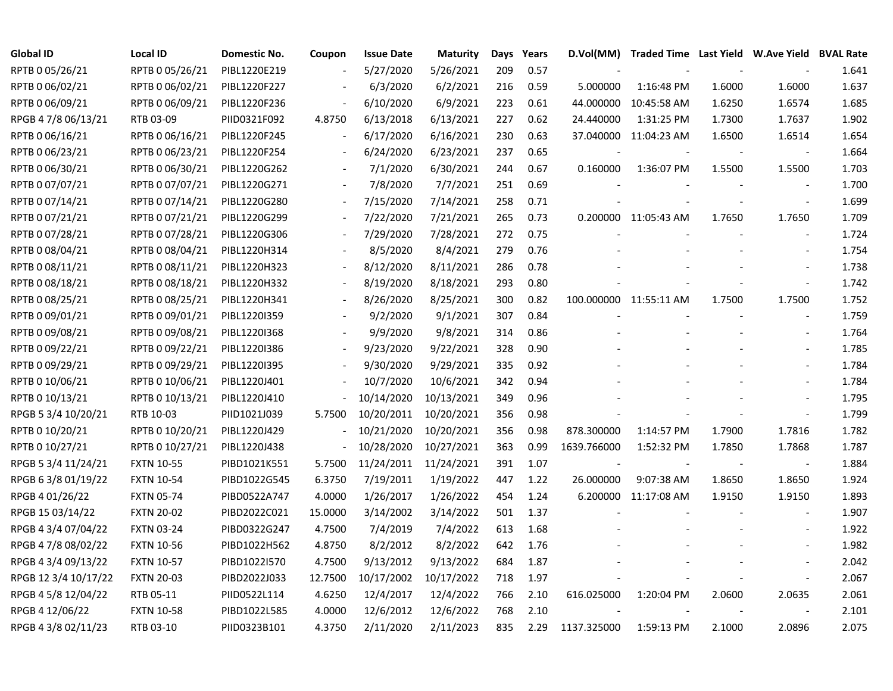| <b>Global ID</b>     | <b>Local ID</b>   | Domestic No. | Coupon                   | <b>Issue Date</b>     | <b>Maturity</b> | Days | Years | D.Vol(MM)                | Traded Time Last Yield W.Ave Yield BVAL Rate |                          |                          |       |
|----------------------|-------------------|--------------|--------------------------|-----------------------|-----------------|------|-------|--------------------------|----------------------------------------------|--------------------------|--------------------------|-------|
| RPTB 0 05/26/21      | RPTB 0 05/26/21   | PIBL1220E219 |                          | 5/27/2020             | 5/26/2021       | 209  | 0.57  |                          |                                              |                          |                          | 1.641 |
| RPTB 0 06/02/21      | RPTB 0 06/02/21   | PIBL1220F227 |                          | 6/3/2020              | 6/2/2021        | 216  | 0.59  | 5.000000                 | 1:16:48 PM                                   | 1.6000                   | 1.6000                   | 1.637 |
| RPTB 0 06/09/21      | RPTB 0 06/09/21   | PIBL1220F236 |                          | 6/10/2020             | 6/9/2021        | 223  | 0.61  | 44.000000                | 10:45:58 AM                                  | 1.6250                   | 1.6574                   | 1.685 |
| RPGB 4 7/8 06/13/21  | RTB 03-09         | PIID0321F092 | 4.8750                   | 6/13/2018             | 6/13/2021       | 227  | 0.62  | 24.440000                | 1:31:25 PM                                   | 1.7300                   | 1.7637                   | 1.902 |
| RPTB 0 06/16/21      | RPTB 0 06/16/21   | PIBL1220F245 | $\blacksquare$           | 6/17/2020             | 6/16/2021       | 230  | 0.63  |                          | 37.040000 11:04:23 AM                        | 1.6500                   | 1.6514                   | 1.654 |
| RPTB 0 06/23/21      | RPTB 0 06/23/21   | PIBL1220F254 | $\blacksquare$           | 6/24/2020             | 6/23/2021       | 237  | 0.65  |                          |                                              |                          | $\blacksquare$           | 1.664 |
| RPTB 0 06/30/21      | RPTB 0 06/30/21   | PIBL1220G262 | $\blacksquare$           | 7/1/2020              | 6/30/2021       | 244  | 0.67  | 0.160000                 | 1:36:07 PM                                   | 1.5500                   | 1.5500                   | 1.703 |
| RPTB 0 07/07/21      | RPTB 0 07/07/21   | PIBL1220G271 |                          | 7/8/2020              | 7/7/2021        | 251  | 0.69  |                          |                                              |                          |                          | 1.700 |
| RPTB 0 07/14/21      | RPTB 0 07/14/21   | PIBL1220G280 | $\blacksquare$           | 7/15/2020             | 7/14/2021       | 258  | 0.71  |                          |                                              |                          | $\blacksquare$           | 1.699 |
| RPTB 0 07/21/21      | RPTB 0 07/21/21   | PIBL1220G299 |                          | 7/22/2020             | 7/21/2021       | 265  | 0.73  |                          | 0.200000 11:05:43 AM                         | 1.7650                   | 1.7650                   | 1.709 |
| RPTB 0 07/28/21      | RPTB 0 07/28/21   | PIBL1220G306 |                          | 7/29/2020             | 7/28/2021       | 272  | 0.75  |                          |                                              |                          | $\overline{\phantom{a}}$ | 1.724 |
| RPTB 0 08/04/21      | RPTB 0 08/04/21   | PIBL1220H314 |                          | 8/5/2020              | 8/4/2021        | 279  | 0.76  |                          |                                              |                          | $\sim$                   | 1.754 |
| RPTB 0 08/11/21      | RPTB 0 08/11/21   | PIBL1220H323 |                          | 8/12/2020             | 8/11/2021       | 286  | 0.78  |                          |                                              |                          |                          | 1.738 |
| RPTB 0 08/18/21      | RPTB 0 08/18/21   | PIBL1220H332 |                          | 8/19/2020             | 8/18/2021       | 293  | 0.80  |                          |                                              |                          | $\sim$                   | 1.742 |
| RPTB 0 08/25/21      | RPTB 0 08/25/21   | PIBL1220H341 |                          | 8/26/2020             | 8/25/2021       | 300  | 0.82  |                          | 100.000000 11:55:11 AM                       | 1.7500                   | 1.7500                   | 1.752 |
| RPTB 0 09/01/21      | RPTB 0 09/01/21   | PIBL12201359 |                          | 9/2/2020              | 9/1/2021        | 307  | 0.84  |                          |                                              |                          |                          | 1.759 |
| RPTB 0 09/08/21      | RPTB 0 09/08/21   | PIBL12201368 |                          | 9/9/2020              | 9/8/2021        | 314  | 0.86  |                          |                                              |                          |                          | 1.764 |
| RPTB 0 09/22/21      | RPTB 0 09/22/21   | PIBL1220I386 | $\overline{\phantom{a}}$ | 9/23/2020             | 9/22/2021       | 328  | 0.90  |                          |                                              |                          |                          | 1.785 |
| RPTB 0 09/29/21      | RPTB 0 09/29/21   | PIBL1220I395 | $\blacksquare$           | 9/30/2020             | 9/29/2021       | 335  | 0.92  |                          |                                              |                          |                          | 1.784 |
| RPTB 0 10/06/21      | RPTB 0 10/06/21   | PIBL1220J401 |                          | 10/7/2020             | 10/6/2021       | 342  | 0.94  |                          |                                              |                          |                          | 1.784 |
| RPTB 0 10/13/21      | RPTB 0 10/13/21   | PIBL1220J410 | $\frac{1}{2}$            | 10/14/2020            | 10/13/2021      | 349  | 0.96  |                          |                                              |                          |                          | 1.795 |
| RPGB 5 3/4 10/20/21  | RTB 10-03         | PIID1021J039 | 5.7500                   | 10/20/2011            | 10/20/2021      | 356  | 0.98  |                          |                                              |                          | $\blacksquare$           | 1.799 |
| RPTB 0 10/20/21      | RPTB 0 10/20/21   | PIBL1220J429 | $\overline{\phantom{a}}$ | 10/21/2020            | 10/20/2021      | 356  | 0.98  | 878.300000               | 1:14:57 PM                                   | 1.7900                   | 1.7816                   | 1.782 |
| RPTB 0 10/27/21      | RPTB 0 10/27/21   | PIBL1220J438 | $\overline{\phantom{a}}$ | 10/28/2020            | 10/27/2021      | 363  | 0.99  | 1639.766000              | 1:52:32 PM                                   | 1.7850                   | 1.7868                   | 1.787 |
| RPGB 5 3/4 11/24/21  | <b>FXTN 10-55</b> | PIBD1021K551 | 5.7500                   | 11/24/2011 11/24/2021 |                 | 391  | 1.07  | $\overline{\phantom{a}}$ |                                              | $\overline{\phantom{a}}$ | $\blacksquare$           | 1.884 |
| RPGB 6 3/8 01/19/22  | <b>FXTN 10-54</b> | PIBD1022G545 | 6.3750                   | 7/19/2011             | 1/19/2022       | 447  | 1.22  | 26.000000                | 9:07:38 AM                                   | 1.8650                   | 1.8650                   | 1.924 |
| RPGB 4 01/26/22      | <b>FXTN 05-74</b> | PIBD0522A747 | 4.0000                   | 1/26/2017             | 1/26/2022       | 454  | 1.24  |                          | 6.200000 11:17:08 AM                         | 1.9150                   | 1.9150                   | 1.893 |
| RPGB 15 03/14/22     | <b>FXTN 20-02</b> | PIBD2022C021 | 15.0000                  | 3/14/2002             | 3/14/2022       | 501  | 1.37  |                          |                                              |                          |                          | 1.907 |
| RPGB 4 3/4 07/04/22  | <b>FXTN 03-24</b> | PIBD0322G247 | 4.7500                   | 7/4/2019              | 7/4/2022        | 613  | 1.68  |                          |                                              |                          |                          | 1.922 |
| RPGB 4 7/8 08/02/22  | <b>FXTN 10-56</b> | PIBD1022H562 | 4.8750                   | 8/2/2012              | 8/2/2022        | 642  | 1.76  |                          |                                              |                          |                          | 1.982 |
| RPGB 4 3/4 09/13/22  | <b>FXTN 10-57</b> | PIBD1022I570 | 4.7500                   | 9/13/2012             | 9/13/2022       | 684  | 1.87  |                          |                                              |                          |                          | 2.042 |
| RPGB 12 3/4 10/17/22 | <b>FXTN 20-03</b> | PIBD2022J033 | 12.7500                  | 10/17/2002            | 10/17/2022      | 718  | 1.97  |                          |                                              |                          | $\overline{\phantom{a}}$ | 2.067 |
| RPGB 4 5/8 12/04/22  | RTB 05-11         | PIID0522L114 | 4.6250                   | 12/4/2017             | 12/4/2022       | 766  | 2.10  | 616.025000               | 1:20:04 PM                                   | 2.0600                   | 2.0635                   | 2.061 |
| RPGB 4 12/06/22      | <b>FXTN 10-58</b> | PIBD1022L585 | 4.0000                   | 12/6/2012             | 12/6/2022       | 768  | 2.10  |                          |                                              |                          |                          | 2.101 |
| RPGB 4 3/8 02/11/23  | RTB 03-10         | PIID0323B101 | 4.3750                   | 2/11/2020             | 2/11/2023       | 835  | 2.29  | 1137.325000              | 1:59:13 PM                                   | 2.1000                   | 2.0896                   | 2.075 |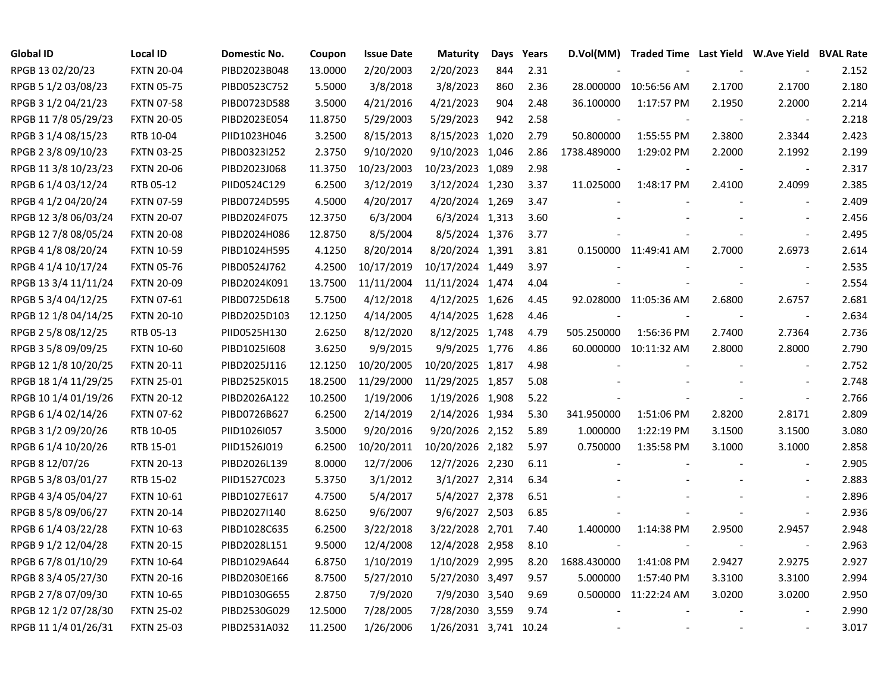| <b>Global ID</b>     | <b>Local ID</b>   | Domestic No. | Coupon  | <b>Issue Date</b> | <b>Maturity</b>       | Days | Years |             | D.Vol(MM) Traded Time Last Yield W.Ave Yield BVAL Rate |        |                          |       |
|----------------------|-------------------|--------------|---------|-------------------|-----------------------|------|-------|-------------|--------------------------------------------------------|--------|--------------------------|-------|
| RPGB 13 02/20/23     | <b>FXTN 20-04</b> | PIBD2023B048 | 13.0000 | 2/20/2003         | 2/20/2023             | 844  | 2.31  |             |                                                        |        |                          | 2.152 |
| RPGB 5 1/2 03/08/23  | <b>FXTN 05-75</b> | PIBD0523C752 | 5.5000  | 3/8/2018          | 3/8/2023              | 860  | 2.36  | 28.000000   | 10:56:56 AM                                            | 2.1700 | 2.1700                   | 2.180 |
| RPGB 3 1/2 04/21/23  | <b>FXTN 07-58</b> | PIBD0723D588 | 3.5000  | 4/21/2016         | 4/21/2023             | 904  | 2.48  | 36.100000   | 1:17:57 PM                                             | 2.1950 | 2.2000                   | 2.214 |
| RPGB 11 7/8 05/29/23 | <b>FXTN 20-05</b> | PIBD2023E054 | 11.8750 | 5/29/2003         | 5/29/2023             | 942  | 2.58  |             |                                                        |        | $\overline{\phantom{a}}$ | 2.218 |
| RPGB 3 1/4 08/15/23  | RTB 10-04         | PIID1023H046 | 3.2500  | 8/15/2013         | 8/15/2023 1,020       |      | 2.79  | 50.800000   | 1:55:55 PM                                             | 2.3800 | 2.3344                   | 2.423 |
| RPGB 2 3/8 09/10/23  | <b>FXTN 03-25</b> | PIBD0323I252 | 2.3750  | 9/10/2020         | 9/10/2023 1,046       |      | 2.86  | 1738.489000 | 1:29:02 PM                                             | 2.2000 | 2.1992                   | 2.199 |
| RPGB 11 3/8 10/23/23 | <b>FXTN 20-06</b> | PIBD2023J068 | 11.3750 | 10/23/2003        | 10/23/2023 1,089      |      | 2.98  |             |                                                        |        | $\overline{\phantom{a}}$ | 2.317 |
| RPGB 6 1/4 03/12/24  | RTB 05-12         | PIID0524C129 | 6.2500  | 3/12/2019         | 3/12/2024 1,230       |      | 3.37  | 11.025000   | 1:48:17 PM                                             | 2.4100 | 2.4099                   | 2.385 |
| RPGB 4 1/2 04/20/24  | <b>FXTN 07-59</b> | PIBD0724D595 | 4.5000  | 4/20/2017         | 4/20/2024 1,269       |      | 3.47  |             |                                                        |        | $\sim$                   | 2.409 |
| RPGB 12 3/8 06/03/24 | <b>FXTN 20-07</b> | PIBD2024F075 | 12.3750 | 6/3/2004          | 6/3/2024 1,313        |      | 3.60  |             |                                                        |        |                          | 2.456 |
| RPGB 12 7/8 08/05/24 | <b>FXTN 20-08</b> | PIBD2024H086 | 12.8750 | 8/5/2004          | 8/5/2024 1,376        |      | 3.77  |             |                                                        |        | $\overline{\phantom{a}}$ | 2.495 |
| RPGB 4 1/8 08/20/24  | <b>FXTN 10-59</b> | PIBD1024H595 | 4.1250  | 8/20/2014         | 8/20/2024 1,391       |      | 3.81  |             | 0.150000 11:49:41 AM                                   | 2.7000 | 2.6973                   | 2.614 |
| RPGB 4 1/4 10/17/24  | <b>FXTN 05-76</b> | PIBD0524J762 | 4.2500  | 10/17/2019        | 10/17/2024 1,449      |      | 3.97  |             |                                                        |        |                          | 2.535 |
| RPGB 13 3/4 11/11/24 | <b>FXTN 20-09</b> | PIBD2024K091 | 13.7500 | 11/11/2004        | 11/11/2024 1,474      |      | 4.04  |             |                                                        |        | $\overline{\phantom{a}}$ | 2.554 |
| RPGB 5 3/4 04/12/25  | <b>FXTN 07-61</b> | PIBD0725D618 | 5.7500  | 4/12/2018         | 4/12/2025 1,626       |      | 4.45  |             | 92.028000 11:05:36 AM                                  | 2.6800 | 2.6757                   | 2.681 |
| RPGB 12 1/8 04/14/25 | <b>FXTN 20-10</b> | PIBD2025D103 | 12.1250 | 4/14/2005         | 4/14/2025 1,628       |      | 4.46  |             |                                                        |        |                          | 2.634 |
| RPGB 2 5/8 08/12/25  | RTB 05-13         | PIID0525H130 | 2.6250  | 8/12/2020         | 8/12/2025 1,748       |      | 4.79  | 505.250000  | 1:56:36 PM                                             | 2.7400 | 2.7364                   | 2.736 |
| RPGB 3 5/8 09/09/25  | <b>FXTN 10-60</b> | PIBD1025I608 | 3.6250  | 9/9/2015          | 9/9/2025 1,776        |      | 4.86  |             | 60.000000 10:11:32 AM                                  | 2.8000 | 2.8000                   | 2.790 |
| RPGB 12 1/8 10/20/25 | <b>FXTN 20-11</b> | PIBD2025J116 | 12.1250 | 10/20/2005        | 10/20/2025 1,817      |      | 4.98  |             |                                                        |        | $\blacksquare$           | 2.752 |
| RPGB 18 1/4 11/29/25 | <b>FXTN 25-01</b> | PIBD2525K015 | 18.2500 | 11/29/2000        | 11/29/2025 1,857      |      | 5.08  |             |                                                        |        |                          | 2.748 |
| RPGB 10 1/4 01/19/26 | <b>FXTN 20-12</b> | PIBD2026A122 | 10.2500 | 1/19/2006         | 1/19/2026 1,908       |      | 5.22  |             |                                                        |        | $\overline{\phantom{a}}$ | 2.766 |
| RPGB 6 1/4 02/14/26  | <b>FXTN 07-62</b> | PIBD0726B627 | 6.2500  | 2/14/2019         | 2/14/2026 1,934       |      | 5.30  | 341.950000  | 1:51:06 PM                                             | 2.8200 | 2.8171                   | 2.809 |
| RPGB 3 1/2 09/20/26  | RTB 10-05         | PIID1026I057 | 3.5000  | 9/20/2016         | 9/20/2026 2,152       |      | 5.89  | 1.000000    | 1:22:19 PM                                             | 3.1500 | 3.1500                   | 3.080 |
| RPGB 6 1/4 10/20/26  | RTB 15-01         | PIID1526J019 | 6.2500  | 10/20/2011        | 10/20/2026 2,182      |      | 5.97  | 0.750000    | 1:35:58 PM                                             | 3.1000 | 3.1000                   | 2.858 |
| RPGB 8 12/07/26      | <b>FXTN 20-13</b> | PIBD2026L139 | 8.0000  | 12/7/2006         | 12/7/2026 2,230       |      | 6.11  |             |                                                        |        | $\overline{\phantom{a}}$ | 2.905 |
| RPGB 5 3/8 03/01/27  | RTB 15-02         | PIID1527C023 | 5.3750  | 3/1/2012          | 3/1/2027 2,314        |      | 6.34  |             |                                                        |        |                          | 2.883 |
| RPGB 4 3/4 05/04/27  | <b>FXTN 10-61</b> | PIBD1027E617 | 4.7500  | 5/4/2017          | 5/4/2027 2,378        |      | 6.51  |             |                                                        |        |                          | 2.896 |
| RPGB 8 5/8 09/06/27  | <b>FXTN 20-14</b> | PIBD2027I140 | 8.6250  | 9/6/2007          | 9/6/2027 2,503        |      | 6.85  |             |                                                        |        | $\overline{\phantom{a}}$ | 2.936 |
| RPGB 6 1/4 03/22/28  | <b>FXTN 10-63</b> | PIBD1028C635 | 6.2500  | 3/22/2018         | 3/22/2028 2,701       |      | 7.40  | 1.400000    | 1:14:38 PM                                             | 2.9500 | 2.9457                   | 2.948 |
| RPGB 9 1/2 12/04/28  | <b>FXTN 20-15</b> | PIBD2028L151 | 9.5000  | 12/4/2008         | 12/4/2028 2,958       |      | 8.10  |             |                                                        |        | $\blacksquare$           | 2.963 |
| RPGB 6 7/8 01/10/29  | <b>FXTN 10-64</b> | PIBD1029A644 | 6.8750  | 1/10/2019         | 1/10/2029 2,995       |      | 8.20  | 1688.430000 | 1:41:08 PM                                             | 2.9427 | 2.9275                   | 2.927 |
| RPGB 8 3/4 05/27/30  | <b>FXTN 20-16</b> | PIBD2030E166 | 8.7500  | 5/27/2010         | 5/27/2030 3,497       |      | 9.57  | 5.000000    | 1:57:40 PM                                             | 3.3100 | 3.3100                   | 2.994 |
| RPGB 2 7/8 07/09/30  | <b>FXTN 10-65</b> | PIBD1030G655 | 2.8750  | 7/9/2020          | 7/9/2030 3,540        |      | 9.69  |             | 0.500000 11:22:24 AM                                   | 3.0200 | 3.0200                   | 2.950 |
| RPGB 12 1/2 07/28/30 | <b>FXTN 25-02</b> | PIBD2530G029 | 12.5000 | 7/28/2005         | 7/28/2030 3,559       |      | 9.74  |             |                                                        |        |                          | 2.990 |
| RPGB 11 1/4 01/26/31 | <b>FXTN 25-03</b> | PIBD2531A032 | 11.2500 | 1/26/2006         | 1/26/2031 3,741 10.24 |      |       |             |                                                        |        |                          | 3.017 |